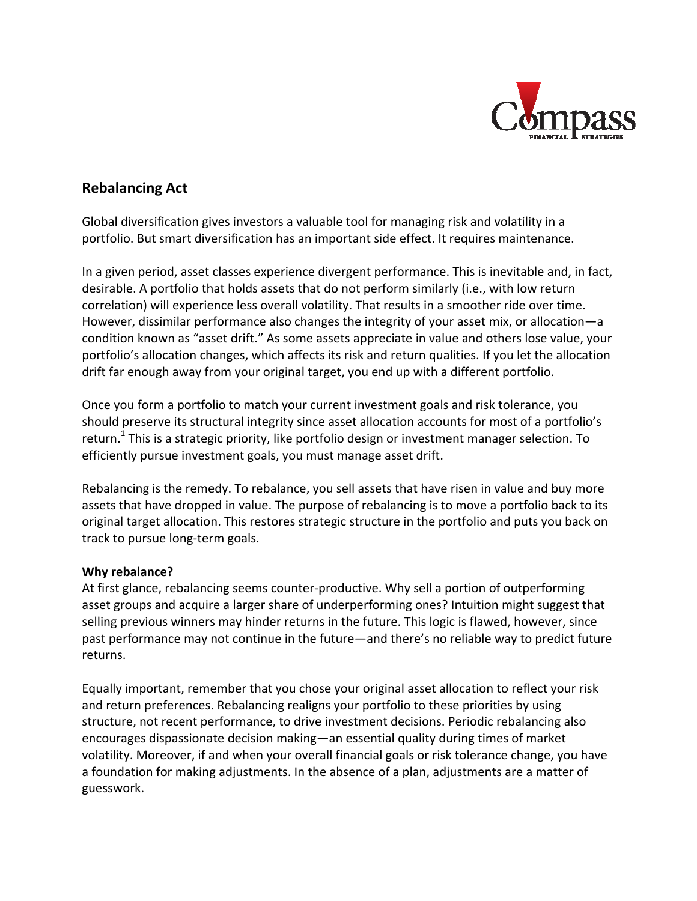

# **Rebalancing Act**

Global diversification gives investors a valuable tool for managing risk and volatility in a portfolio. But smart diversification has an important side effect. It requires maintenance.

In a given period, asset classes experience divergent performance. This is inevitable and, in fact, desirable. A portfolio that holds assets that do not perform similarly (i.e., with low return correlation) will experience less overall volatility. That results in a smoother ride over time. However, dissimilar performance also changes the integrity of your asset mix, or allocation—a condition known as "asset drift." As some assets appreciate in value and others lose value, your portfolio's allocation changes, which affects its risk and return qualities. If you let the allocation drift far enough away from your original target, you end up with a different portfolio.

Once you form a portfolio to match your current investment goals and risk tolerance, you should preserve its structural integrity since asset allocation accounts for most of a portfolio's return.<sup>1</sup> This is a strategic priority, like portfolio design or investment manager selection. To efficiently pursue investment goals, you must manage asset drift.

Rebalancing is the remedy. To rebalance, you sell assets that have risen in value and buy more assets that have dropped in value. The purpose of rebalancing is to move a portfolio back to its original target allocation. This restores strategic structure in the portfolio and puts you back on track to pursue long‐term goals.

## **Why rebalance?**

At first glance, rebalancing seems counter‐productive. Why sell a portion of outperforming asset groups and acquire a larger share of underperforming ones? Intuition might suggest that selling previous winners may hinder returns in the future. This logic is flawed, however, since past performance may not continue in the future—and there's no reliable way to predict future returns.

Equally important, remember that you chose your original asset allocation to reflect your risk and return preferences. Rebalancing realigns your portfolio to these priorities by using structure, not recent performance, to drive investment decisions. Periodic rebalancing also encourages dispassionate decision making—an essential quality during times of market volatility. Moreover, if and when your overall financial goals or risk tolerance change, you have a foundation for making adjustments. In the absence of a plan, adjustments are a matter of guesswork.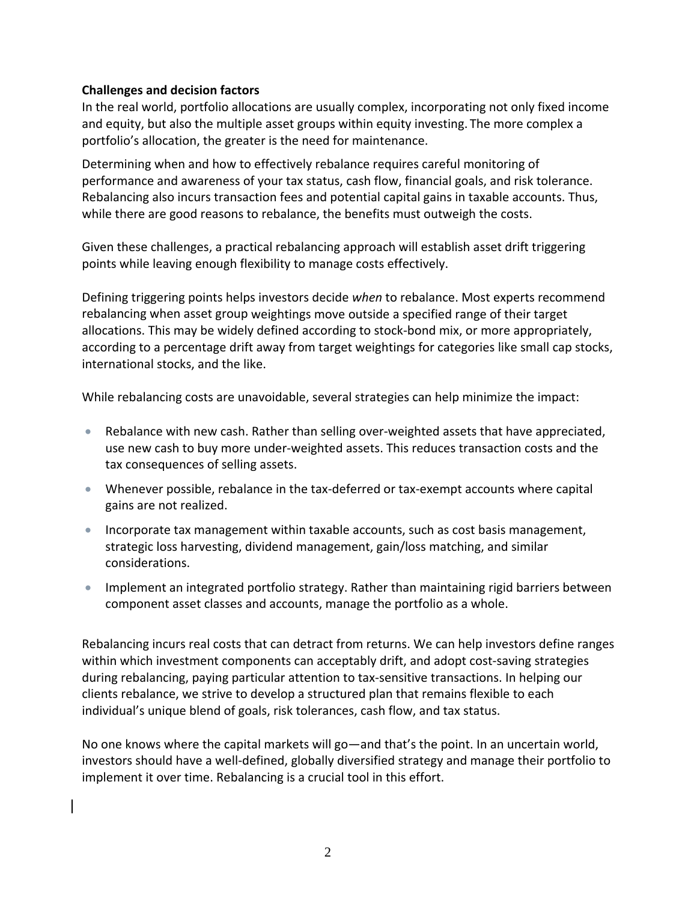### **Challenges and decision factors**

In the real world, portfolio allocations are usually complex, incorporating not only fixed income and equity, but also the multiple asset groups within equity investing. The more complex a portfolio's allocation, the greater is the need for maintenance.

Determining when and how to effectively rebalance requires careful monitoring of performance and awareness of your tax status, cash flow, financial goals, and risk tolerance. Rebalancing also incurs transaction fees and potential capital gains in taxable accounts. Thus, while there are good reasons to rebalance, the benefits must outweigh the costs.

Given these challenges, a practical rebalancing approach will establish asset drift triggering points while leaving enough flexibility to manage costs effectively.

Defining triggering points helps investors decide *when* to rebalance. Most experts recommend rebalancing when asset group weightings move outside a specified range of their target allocations. This may be widely defined according to stock‐bond mix, or more appropriately, according to a percentage drift away from target weightings for categories like small cap stocks, international stocks, and the like.

While rebalancing costs are unavoidable, several strategies can help minimize the impact:

- Rebalance with new cash. Rather than selling over-weighted assets that have appreciated, use new cash to buy more under‐weighted assets. This reduces transaction costs and the tax consequences of selling assets.
- Whenever possible, rebalance in the tax-deferred or tax-exempt accounts where capital gains are not realized.
- **Incorporate tax management within taxable accounts, such as cost basis management,** strategic loss harvesting, dividend management, gain/loss matching, and similar considerations.
- Implement an integrated portfolio strategy. Rather than maintaining rigid barriers between component asset classes and accounts, manage the portfolio as a whole.

Rebalancing incurs real costs that can detract from returns. We can help investors define ranges within which investment components can acceptably drift, and adopt cost-saving strategies during rebalancing, paying particular attention to tax‐sensitive transactions. In helping our clients rebalance, we strive to develop a structured plan that remains flexible to each individual's unique blend of goals, risk tolerances, cash flow, and tax status.

No one knows where the capital markets will go—and that's the point. In an uncertain world, investors should have a well‐defined, globally diversified strategy and manage their portfolio to implement it over time. Rebalancing is a crucial tool in this effort.